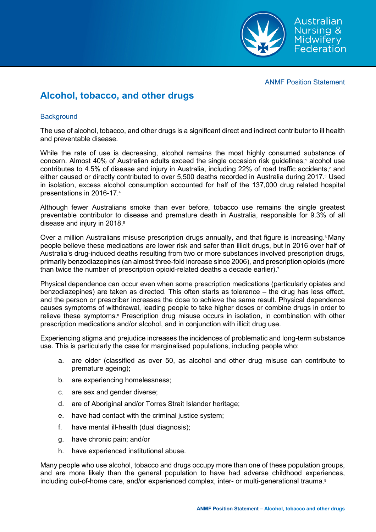

ANMF Position Statement

# **Alcohol, tobacco, and other drugs**

## **Background**

The use of alcohol, tobacco, and other drugs is a significant direct and indirect contributor to ill health and preventable disease.

While the rate of use is decreasing, alcohol remains the most highly consumed substance of concern. Almost 40% of Australian adults exceed the single occasion risk guidelines;1 alcohol use contributes to 4.5% of disease and injury in Australia, including 22% of road traffic accidents,<sup>2</sup> and either caused or directly contributed to over 5,500 deaths recorded in Australia during 2017.<sup>3</sup> Used in isolation, excess alcohol consumption accounted for half of the 137,000 drug related hospital presentations in 2016-17.4

Although fewer Australians smoke than ever before, tobacco use remains the single greatest preventable contributor to disease and premature death in Australia, responsible for 9.3% of all disease and injury in 2018.<sup>5</sup>

Over a million Australians misuse prescription drugs annually, and that figure is increasing.<sup>6</sup> Many people believe these medications are lower risk and safer than illicit drugs, but in 2016 over half of Australia's drug-induced deaths resulting from two or more substances involved prescription drugs, primarily benzodiazepines (an almost three-fold increase since 2006), and prescription opioids (more than twice the number of prescription opioid-related deaths a decade earlier).<sup>7</sup>

Physical dependence can occur even when some prescription medications (particularly opiates and benzodiazepines) are taken as directed. This often starts as tolerance – the drug has less effect, and the person or prescriber increases the dose to achieve the same result. Physical dependence causes symptoms of withdrawal, leading people to take higher doses or combine drugs in order to relieve these symptoms.<sup>8</sup> Prescription drug misuse occurs in isolation, in combination with other prescription medications and/or alcohol, and in conjunction with illicit drug use.

Experiencing stigma and prejudice increases the incidences of problematic and long-term substance use. This is particularly the case for marginalised populations, including people who:

- a. are older (classified as over 50, as alcohol and other drug misuse can contribute to premature ageing);
- b. are experiencing homelessness;
- c. are sex and gender diverse;
- d. are of Aboriginal and/or Torres Strait Islander heritage;
- e. have had contact with the criminal justice system;
- f. have mental ill-health (dual diagnosis);
- g. have chronic pain; and/or
- h. have experienced institutional abuse.

Many people who use alcohol, tobacco and drugs occupy more than one of these population groups, and are more likely than the general population to have had adverse childhood experiences, including out-of-home care, and/or experienced complex, inter- or multi-generational trauma.<sup>9</sup>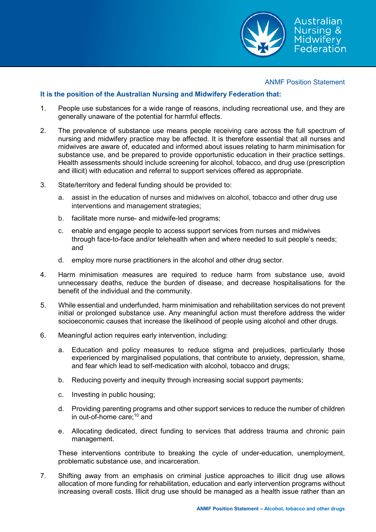

#### ANMF Position Statement

### **It is the position of the Australian Nursing and Midwifery Federation that:**

- 1. People use substances for a wide range of reasons, including recreational use, and they are generally unaware of the potential for harmful effects.
- 2. The prevalence of substance use means people receiving care across the full spectrum of nursing and midwifery practice may be affected. It is therefore essential that all nurses and midwives are aware of, educated and informed about issues relating to harm minimisation for substance use, and be prepared to provide opportunistic education in their practice settings. Health assessments should include screening for alcohol, tobacco, and drug use (prescription and illicit) with education and referral to support services offered as appropriate.
- 3. State/territory and federal funding should be provided to:
	- a. assist in the education of nurses and midwives on alcohol, tobacco and other drug use interventions and management strategies;
	- b. facilitate more nurse- and midwife-led programs;
	- c. enable and engage people to access support services from nurses and midwives through face-to-face and/or telehealth when and where needed to suit people's needs; and
	- d. employ more nurse practitioners in the alcohol and other drug sector.
- 4. Harm minimisation measures are required to reduce harm from substance use, avoid unnecessary deaths, reduce the burden of disease, and decrease hospitalisations for the benefit of the individual and the community.
- 5. While essential and underfunded, harm minimisation and rehabilitation services do not prevent initial or prolonged substance use. Any meaningful action must therefore address the wider socioeconomic causes that increase the likelihood of people using alcohol and other drugs.
- 6. Meaningful action requires early intervention, including:
	- a. Education and policy measures to reduce stigma and prejudices, particularly those experienced by marginalised populations, that contribute to anxiety, depression, shame, and fear which lead to self-medication with alcohol, tobacco and drugs;
	- b. Reducing poverty and inequity through increasing social support payments;
	- c. Investing in public housing;
	- d. Providing parenting programs and other support services to reduce the number of children in out-of-home care; $10$  and
	- e. Allocating dedicated, direct funding to services that address trauma and chronic pain management.

These interventions contribute to breaking the cycle of under-education, unemployment, problematic substance use, and incarceration.

7. Shifting away from an emphasis on criminal justice approaches to illicit drug use allows allocation of more funding for rehabilitation, education and early intervention programs without increasing overall costs. Illicit drug use should be managed as a health issue rather than an